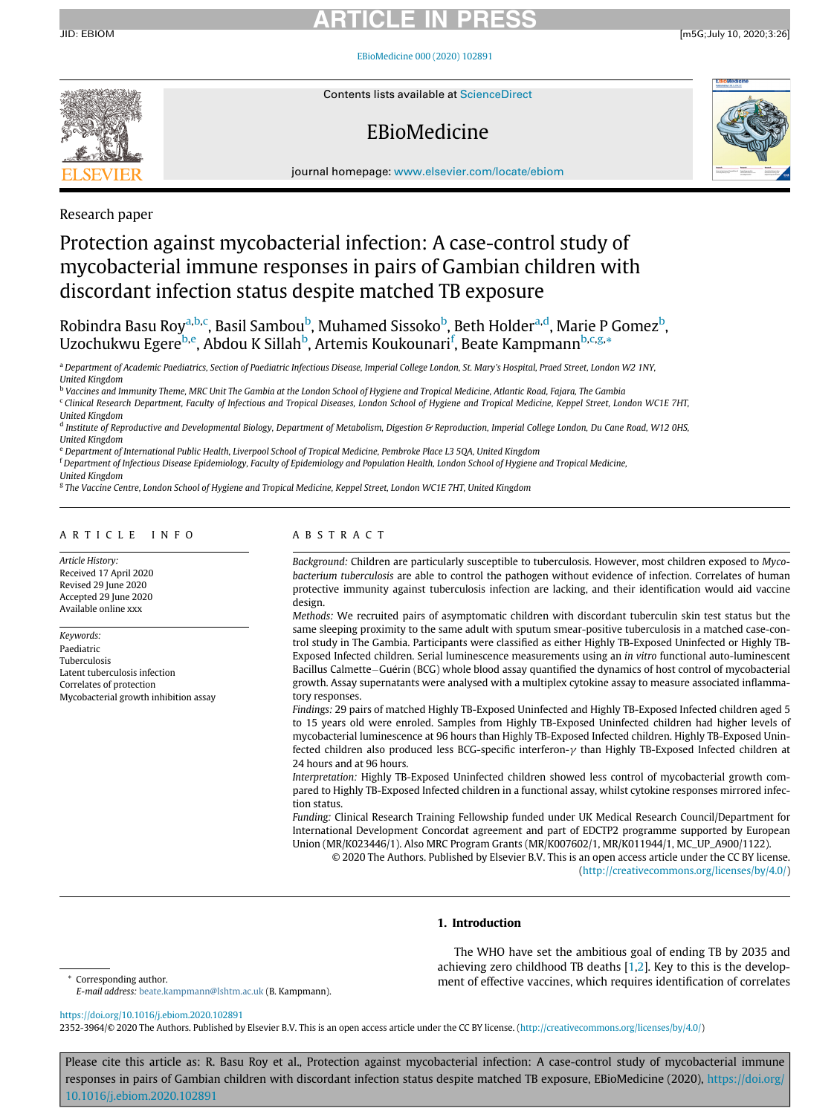JID: EBIOM [m5G;July 10, 2020;3:26]

[EBioMedicine 000 \(2020\) 102891](https://doi.org/10.1016/j.ebiom.2020.102891)



Contents lists available at ScienceDirect

# EBioMedicine



journal homepage: [www.elsevier.com/locate/ebiom](http://www.elsevier.com/locate/ebiom)

# Research paper

# Protection against mycobacterial infection: A case-control study of mycobacterial immune responses in pairs of Gambian children with discordant infection status despite matched TB exposure

Robindr[a](#page-0-0) Basu Roy<sup>a[,b,](#page-0-1)[c](#page-0-2)</sup>, Basil Sam[b](#page-0-1)ou<sup>b</sup>, Muhamed Sissoko<sup>b</sup>, Beth Holder<sup>a[,d](#page-0-3)</sup>, Marie P Gomez<sup>b</sup>, Uzochukwu Egere<sup>[b,](#page-0-1)[e](#page-0-4)</sup>, A[b](#page-0-1)dou K Sillah<sup>b</sup>, Artemis Koukounari<sup>[f](#page-0-5)</sup>, Beate Kampmann<sup>b,[c](#page-0-2)[,g,](#page-0-6)</sup>[\\*](#page-0-7)

<span id="page-0-0"></span>a Department of Academic Paediatrics, Section of Paediatric Infectious Disease, Imperial College London, St. Mary's Hospital, Praed Street, London W2 1NY, United Kingdom

<span id="page-0-1"></span><sup>b</sup> Vaccines and Immunity Theme, MRC Unit The Gambia at the London School of Hygiene and Tropical Medicine, Atlantic Road, Fajara, The Gambia

<span id="page-0-2"></span><sup>c</sup> Clinical Research Department, Faculty of Infectious and Tropical Diseases, London School of Hygiene and Tropical Medicine, Keppel Street, London WC1E 7HT, United Kingdom

<span id="page-0-3"></span><sup>d</sup> Institute of Reproductive and Developmental Biology, Department of Metabolism, Digestion & Reproduction, Imperial College London, Du Cane Road, W12 0HS, United Kingdom

<span id="page-0-4"></span><sup>e</sup> Department of International Public Health, Liverpool School of Tropical Medicine, Pembroke Place L3 5QA, United Kingdom

<sup>f</sup> Department of Infectious Disease Epidemiology, Faculty of Epidemiology and Population Health, London School of Hygiene and Tropical Medicine,

<span id="page-0-6"></span><span id="page-0-5"></span>United Kingdom <sup>g</sup> The Vaccine Centre, London School of Hygiene and Tropical Medicine, Keppel Street, London WC1E 7HT, United Kingdom

## ARTICLE INFO

Article History: Received 17 April 2020 Revised 29 June 2020 Accepted 29 June 2020 Available online xxx

Keywords: Paediatric Tuberculosis Latent tuberculosis infection Correlates of protection Mycobacterial growth inhibition assay

# ABSTRACT

Background: Children are particularly susceptible to tuberculosis. However, most children exposed to Mycobacterium tuberculosis are able to control the pathogen without evidence of infection. Correlates of human protective immunity against tuberculosis infection are lacking, and their identification would aid vaccine design.

Methods: We recruited pairs of asymptomatic children with discordant tuberculin skin test status but the same sleeping proximity to the same adult with sputum smear-positive tuberculosis in a matched case-control study in The Gambia. Participants were classified as either Highly TB-Exposed Uninfected or Highly TB-Exposed Infected children. Serial luminescence measurements using an in vitro functional auto-luminescent Bacillus Calmette-Guérin (BCG) whole blood assay quantified the dynamics of host control of mycobacterial growth. Assay supernatants were analysed with a multiplex cytokine assay to measure associated inflammatory responses.

Findings: 29 pairs of matched Highly TB-Exposed Uninfected and Highly TB-Exposed Infected children aged 5 to 15 years old were enroled. Samples from Highly TB-Exposed Uninfected children had higher levels of mycobacterial luminescence at 96 hours than Highly TB-Exposed Infected children. Highly TB-Exposed Uninfected children also produced less BCG-specific interferon- $\gamma$  than Highly TB-Exposed Infected children at 24 hours and at 96 hours.

Interpretation: Highly TB-Exposed Uninfected children showed less control of mycobacterial growth compared to Highly TB-Exposed Infected children in a functional assay, whilst cytokine responses mirrored infection status.

Funding: Clinical Research Training Fellowship funded under UK Medical Research Council/Department for International Development Concordat agreement and part of EDCTP2 programme supported by European Union (MR/K023446/1). Also MRC Program Grants (MR/K007602/1, MR/K011944/1, MC\_UP\_A900/1122).

© 2020 The Authors. Published by Elsevier B.V. This is an open access article under the CC BY license. ([http://creativecommons.org/licenses/by/4.0/\)](http://creativecommons.org/licenses/by/4.0/)

# 1. Introduction

E-mail address: [beate.kampmann@lshtm.ac.uk](mailto:beate.kampmann@lshtm.ac.uk) (B. Kampmann).

The WHO have set the ambitious goal of ending TB by 2035 and achieving zero childhood TB deaths [\[1,](#page-8-0)[2](#page-8-1)]. Key to this is the develop-Corresponding author. **Example 20 and 20 and 20 and 20 and 20 and 20 and 20 and 20 and 20 and 20 and 20 and 20 and 20 and 20 and 20 and 20 and 20 and 20 and 20 and 20 and 20 and 20 and 20 and 20 and 20 and 20 and 20 and 20** 

<span id="page-0-7"></span><https://doi.org/10.1016/j.ebiom.2020.102891>

2352-3964/© 2020 The Authors. Published by Elsevier B.V. This is an open access article under the CC BY license. [\(http://creativecommons.org/licenses/by/4.0/](http://creativecommons.org/licenses/by/4.0/))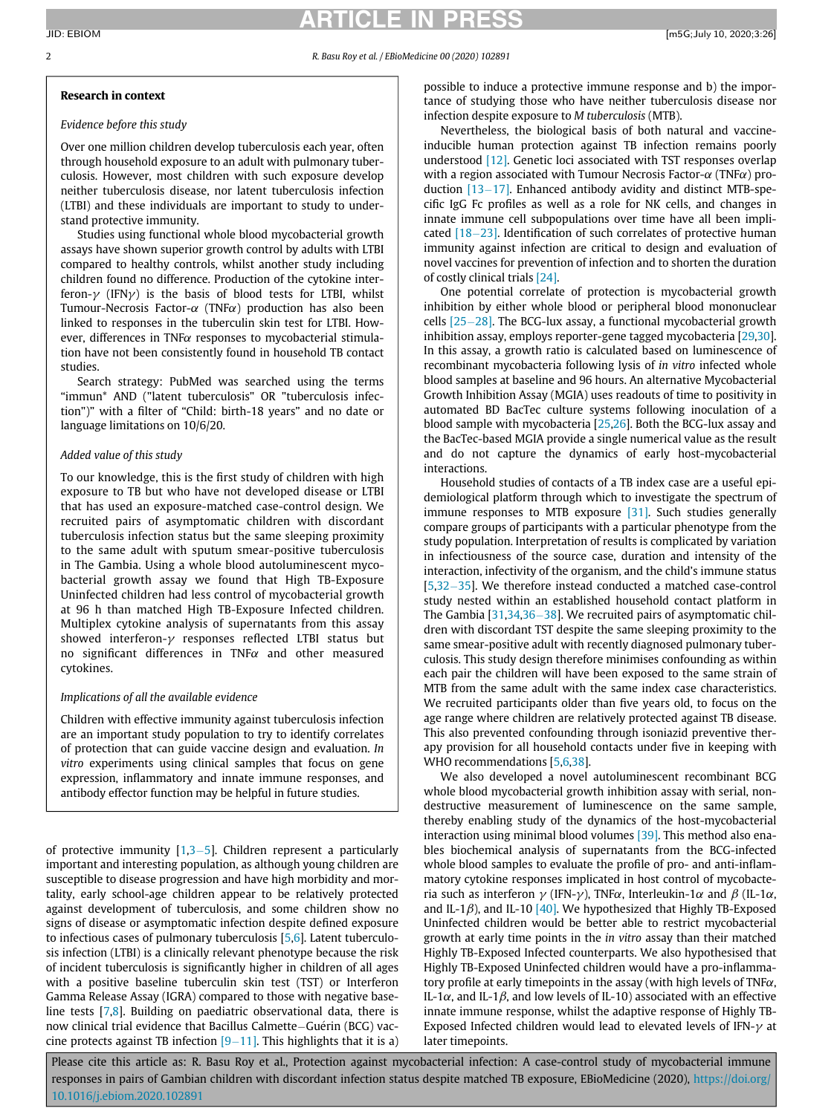# RTICLE IN PR

### 2 R. Basu Roy et al. / EBioMedicine 00 (2020) 102891

## Research in context

# Evidence before this study

Over one million children develop tuberculosis each year, often through household exposure to an adult with pulmonary tuberculosis. However, most children with such exposure develop neither tuberculosis disease, nor latent tuberculosis infection (LTBI) and these individuals are important to study to understand protective immunity.

Studies using functional whole blood mycobacterial growth assays have shown superior growth control by adults with LTBI compared to healthy controls, whilst another study including children found no difference. Production of the cytokine interferon- $\gamma$  (IFN $\gamma$ ) is the basis of blood tests for LTBI, whilst Tumour-Necrosis Factor- $\alpha$  (TNF $\alpha$ ) production has also been linked to responses in the tuberculin skin test for LTBI. However, differences in TNF $\alpha$  responses to mycobacterial stimulation have not been consistently found in household TB contact studies.

Search strategy: PubMed was searched using the terms "immun\* AND ("latent tuberculosis" OR "tuberculosis infection")" with a filter of "Child: birth-18 years" and no date or language limitations on 10/6/20.

### Added value of this study

To our knowledge, this is the first study of children with high exposure to TB but who have not developed disease or LTBI that has used an exposure-matched case-control design. We recruited pairs of asymptomatic children with discordant tuberculosis infection status but the same sleeping proximity to the same adult with sputum smear-positive tuberculosis in The Gambia. Using a whole blood autoluminescent mycobacterial growth assay we found that High TB-Exposure Uninfected children had less control of mycobacterial growth at 96 h than matched High TB-Exposure Infected children. Multiplex cytokine analysis of supernatants from this assay showed interferon- $\gamma$  responses reflected LTBI status but no significant differences in TNF $\alpha$  and other measured cytokines.

### Implications of all the available evidence

Children with effective immunity against tuberculosis infection are an important study population to try to identify correlates of protection that can guide vaccine design and evaluation. In vitro experiments using clinical samples that focus on gene expression, inflammatory and innate immune responses, and antibody effector function may be helpful in future studies.

of protective immunity  $[1,3-5]$  $[1,3-5]$  $[1,3-5]$  $[1,3-5]$  $[1,3-5]$ . Children represent a particularly important and interesting population, as although young children are susceptible to disease progression and have high morbidity and mortality, early school-age children appear to be relatively protected against development of tuberculosis, and some children show no signs of disease or asymptomatic infection despite defined exposure to infectious cases of pulmonary tuberculosis [[5](#page-8-3)[,6\]](#page-8-4). Latent tuberculosis infection (LTBI) is a clinically relevant phenotype because the risk of incident tuberculosis is significantly higher in children of all ages with a positive baseline tuberculin skin test (TST) or Interferon Gamma Release Assay (IGRA) compared to those with negative baseline tests [[7](#page-8-5)[,8\]](#page-8-6). Building on paediatric observational data, there is now clinical trial evidence that Bacillus Calmette-Guérin (BCG) vaccine protects against TB infection  $[9-11]$  $[9-11]$ . This highlights that it is a)

possible to induce a protective immune response and b) the importance of studying those who have neither tuberculosis disease nor infection despite exposure to M tuberculosis (MTB).

Nevertheless, the biological basis of both natural and vaccineinducible human protection against TB infection remains poorly understood [\[12\].](#page-8-8) Genetic loci associated with TST responses overlap with a region associated with Tumour Necrosis Factor- $\alpha$  (TNF $\alpha$ ) production  $[13-17]$  $[13-17]$ . Enhanced antibody avidity and distinct MTB-specific IgG Fc profiles as well as a role for NK cells, and changes in innate immune cell subpopulations over time have all been implicated  $[18-23]$  $[18-23]$  $[18-23]$ . Identification of such correlates of protective human immunity against infection are critical to design and evaluation of novel vaccines for prevention of infection and to shorten the duration of costly clinical trials [\[24\]](#page-9-0).

One potential correlate of protection is mycobacterial growth inhibition by either whole blood or peripheral blood mononuclear cells  $[25-28]$  $[25-28]$  $[25-28]$ . The BCG-lux assay, a functional mycobacterial growth inhibition assay, employs reporter-gene tagged mycobacteria [\[29](#page-9-2),[30](#page-9-3)]. In this assay, a growth ratio is calculated based on luminescence of recombinant mycobacteria following lysis of in vitro infected whole blood samples at baseline and 96 hours. An alternative Mycobacterial Growth Inhibition Assay (MGIA) uses readouts of time to positivity in automated BD BacTec culture systems following inoculation of a blood sample with mycobacteria [[25,](#page-9-1)[26\]](#page-9-4). Both the BCG-lux assay and the BacTec-based MGIA provide a single numerical value as the result and do not capture the dynamics of early host-mycobacterial interactions.

Household studies of contacts of a TB index case are a useful epidemiological platform through which to investigate the spectrum of immune responses to MTB exposure [\[31\]](#page-9-5). Such studies generally compare groups of participants with a particular phenotype from the study population. Interpretation of results is complicated by variation in infectiousness of the source case, duration and intensity of the interaction, infectivity of the organism, and the child's immune status  $[5,32-35]$  $[5,32-35]$  $[5,32-35]$  $[5,32-35]$  $[5,32-35]$  $[5,32-35]$ . We therefore instead conducted a matched case-control study nested within an established household contact platform in The Gambia  $[31,34,36-38]$  $[31,34,36-38]$  $[31,34,36-38]$  $[31,34,36-38]$  $[31,34,36-38]$  $[31,34,36-38]$ . We recruited pairs of asymptomatic children with discordant TST despite the same sleeping proximity to the same smear-positive adult with recently diagnosed pulmonary tuberculosis. This study design therefore minimises confounding as within each pair the children will have been exposed to the same strain of MTB from the same adult with the same index case characteristics. We recruited participants older than five years old, to focus on the age range where children are relatively protected against TB disease. This also prevented confounding through isoniazid preventive therapy provision for all household contacts under five in keeping with WHO recommendations [\[5,](#page-8-3)[6](#page-8-4),[38](#page-9-9)].

We also developed a novel autoluminescent recombinant BCG whole blood mycobacterial growth inhibition assay with serial, nondestructive measurement of luminescence on the same sample, thereby enabling study of the dynamics of the host-mycobacterial interaction using minimal blood volumes [\[39\]](#page-9-10). This method also enables biochemical analysis of supernatants from the BCG-infected whole blood samples to evaluate the profile of pro- and anti-inflammatory cytokine responses implicated in host control of mycobacteria such as interferon  $\gamma$  (IFN- $\gamma$ ), TNF $\alpha$ , Interleukin-1 $\alpha$  and  $\beta$  (IL-1 $\alpha$ , and IL-1 $\beta$ ), and IL-10 [\[40\]](#page-9-11). We hypothesized that Highly TB-Exposed Uninfected children would be better able to restrict mycobacterial growth at early time points in the in vitro assay than their matched Highly TB-Exposed Infected counterparts. We also hypothesised that Highly TB-Exposed Uninfected children would have a pro-inflammatory profile at early timepoints in the assay (with high levels of TNF $\alpha$ , IL-1 $\alpha$ , and IL-1 $\beta$ , and low levels of IL-10) associated with an effective innate immune response, whilst the adaptive response of Highly TB-Exposed Infected children would lead to elevated levels of IFN- $\gamma$  at later timepoints.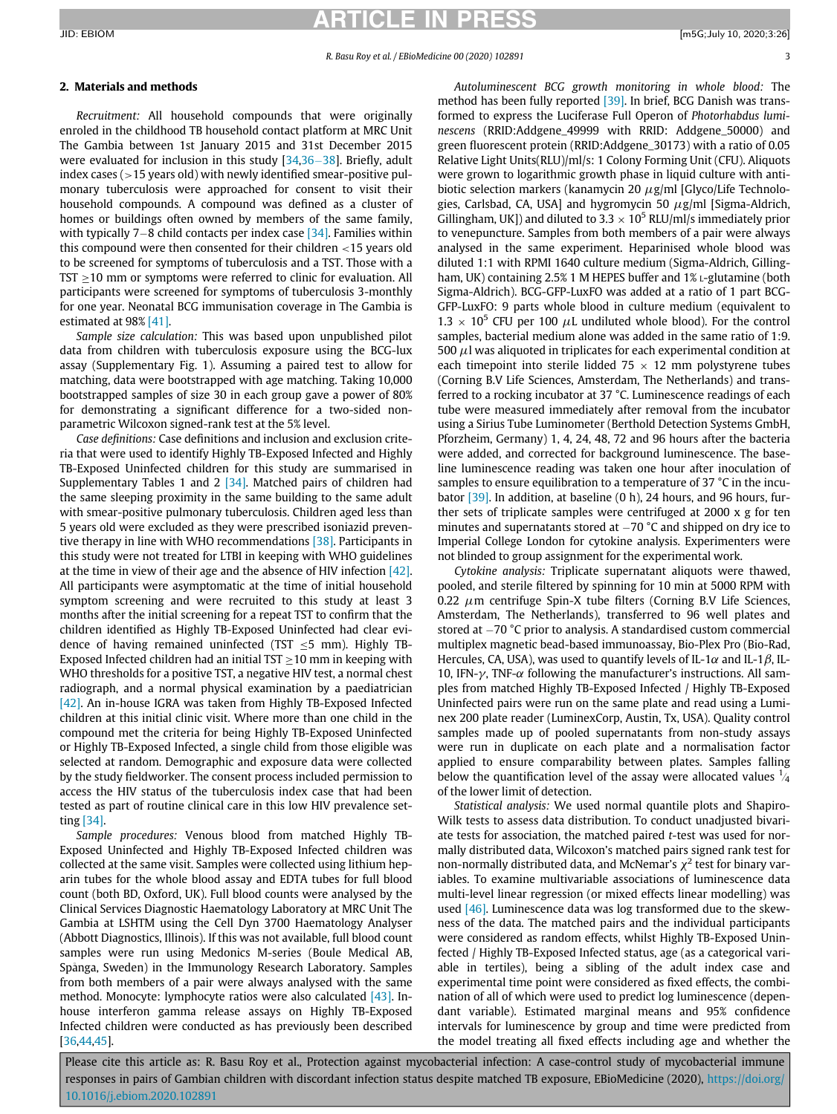## 2. Materials and methods

Recruitment: All household compounds that were originally enroled in the childhood TB household contact platform at MRC Unit The Gambia between 1st January 2015 and 31st December 2015 were evaluated for inclusion in this study  $[34,36-38]$  $[34,36-38]$  $[34,36-38]$  $[34,36-38]$  $[34,36-38]$ . Briefly, adult index cases ( $>15$  years old) with newly identified smear-positive pulmonary tuberculosis were approached for consent to visit their household compounds. A compound was defined as a cluster of homes or buildings often owned by members of the same family, with typically 7-8 child contacts per index case  $[34]$ . Families within this compound were then consented for their children <15 years old to be screened for symptoms of tuberculosis and a TST. Those with a TST  $\geq$ 10 mm or symptoms were referred to clinic for evaluation. All participants were screened for symptoms of tuberculosis 3-monthly for one year. Neonatal BCG immunisation coverage in The Gambia is estimated at 98% [\[41\]](#page-9-12).

Sample size calculation: This was based upon unpublished pilot data from children with tuberculosis exposure using the BCG-lux assay (Supplementary Fig. 1). Assuming a paired test to allow for matching, data were bootstrapped with age matching. Taking 10,000 bootstrapped samples of size 30 in each group gave a power of 80% for demonstrating a significant difference for a two-sided nonparametric Wilcoxon signed-rank test at the 5% level.

Case definitions: Case definitions and inclusion and exclusion criteria that were used to identify Highly TB-Exposed Infected and Highly TB-Exposed Uninfected children for this study are summarised in Supplementary Tables 1 and 2 [\[34\].](#page-9-7) Matched pairs of children had the same sleeping proximity in the same building to the same adult with smear-positive pulmonary tuberculosis. Children aged less than 5 years old were excluded as they were prescribed isoniazid preventive therapy in line with WHO recommendations [\[38\]](#page-9-9). Participants in this study were not treated for LTBI in keeping with WHO guidelines at the time in view of their age and the absence of HIV infection [\[42\].](#page-9-13) All participants were asymptomatic at the time of initial household symptom screening and were recruited to this study at least 3 months after the initial screening for a repeat TST to confirm that the children identified as Highly TB-Exposed Uninfected had clear evidence of having remained uninfected (TST  $\leq$ 5 mm). Highly TB-Exposed Infected children had an initial TST  $\geq$ 10 mm in keeping with WHO thresholds for a positive TST, a negative HIV test, a normal chest radiograph, and a normal physical examination by a paediatrician [\[42\]](#page-9-13). An in-house IGRA was taken from Highly TB-Exposed Infected children at this initial clinic visit. Where more than one child in the compound met the criteria for being Highly TB-Exposed Uninfected or Highly TB-Exposed Infected, a single child from those eligible was selected at random. Demographic and exposure data were collected by the study fieldworker. The consent process included permission to access the HIV status of the tuberculosis index case that had been tested as part of routine clinical care in this low HIV prevalence setting [\[34\].](#page-9-7)

Sample procedures: Venous blood from matched Highly TB-Exposed Uninfected and Highly TB-Exposed Infected children was collected at the same visit. Samples were collected using lithium heparin tubes for the whole blood assay and EDTA tubes for full blood count (both BD, Oxford, UK). Full blood counts were analysed by the Clinical Services Diagnostic Haematology Laboratory at MRC Unit The Gambia at LSHTM using the Cell Dyn 3700 Haematology Analyser (Abbott Diagnostics, Illinois). If this was not available, full blood count samples were run using Medonics M-series (Boule Medical AB, Spa nga, Sweden) in the Immunology Research Laboratory. Samples from both members of a pair were always analysed with the same method. Monocyte: lymphocyte ratios were also calculated [\[43\].](#page-9-14) Inhouse interferon gamma release assays on Highly TB-Exposed Infected children were conducted as has previously been described [\[36](#page-9-8)[,44](#page-9-15)[,45](#page-9-16)].

Autoluminescent BCG growth monitoring in whole blood: The method has been fully reported [\[39\]](#page-9-10). In brief, BCG Danish was transformed to express the Luciferase Full Operon of Photorhabdus luminescens (RRID:Addgene\_49999 with RRID: Addgene\_50000) and green fluorescent protein (RRID:Addgene\_30173) with a ratio of 0.05 Relative Light Units(RLU)/ml/s: 1 Colony Forming Unit (CFU). Aliquots were grown to logarithmic growth phase in liquid culture with antibiotic selection markers (kanamycin 20  $\mu$ g/ml [Glyco/Life Technologies, Carlsbad, CA, USA] and hygromycin 50  $\mu$ g/ml [Sigma-Aldrich, Gillingham, UK]) and diluted to  $3.3 \times 10^5$  RLU/ml/s immediately prior to venepuncture. Samples from both members of a pair were always analysed in the same experiment. Heparinised whole blood was diluted 1:1 with RPMI 1640 culture medium (Sigma-Aldrich, Gillingham, UK) containing 2.5% 1 M HEPES buffer and 1% L-glutamine (both Sigma-Aldrich). BCG-GFP-LuxFO was added at a ratio of 1 part BCG-GFP-LuxFO: 9 parts whole blood in culture medium (equivalent to  $1.3 \times 10^5$  CFU per 100  $\mu$ L undiluted whole blood). For the control samples, bacterial medium alone was added in the same ratio of 1:9. 500  $\mu$ l was aliquoted in triplicates for each experimental condition at each timepoint into sterile lidded  $75 \times 12$  mm polystyrene tubes (Corning B.V Life Sciences, Amsterdam, The Netherlands) and transferred to a rocking incubator at 37 °C. Luminescence readings of each tube were measured immediately after removal from the incubator using a Sirius Tube Luminometer (Berthold Detection Systems GmbH, Pforzheim, Germany) 1, 4, 24, 48, 72 and 96 hours after the bacteria were added, and corrected for background luminescence. The baseline luminescence reading was taken one hour after inoculation of samples to ensure equilibration to a temperature of 37 °C in the incubator [\[39\].](#page-9-10) In addition, at baseline (0 h), 24 hours, and 96 hours, further sets of triplicate samples were centrifuged at 2000 x g for ten minutes and supernatants stored at  $-70$  °C and shipped on dry ice to Imperial College London for cytokine analysis. Experimenters were not blinded to group assignment for the experimental work.

Cytokine analysis: Triplicate supernatant aliquots were thawed, pooled, and sterile filtered by spinning for 10 min at 5000 RPM with 0.22  $\mu$ m centrifuge Spin-X tube filters (Corning B.V Life Sciences, Amsterdam, The Netherlands), transferred to 96 well plates and stored at  $-70$  °C prior to analysis. A standardised custom commercial multiplex magnetic bead-based immunoassay, Bio-Plex Pro (Bio-Rad, Hercules, CA, USA), was used to quantify levels of IL-1 $\alpha$  and IL-1 $\beta$ , IL-10, IFN- $\gamma$ , TNF- $\alpha$  following the manufacturer's instructions. All samples from matched Highly TB-Exposed Infected / Highly TB-Exposed Uninfected pairs were run on the same plate and read using a Luminex 200 plate reader (LuminexCorp, Austin, Tx, USA). Quality control samples made up of pooled supernatants from non-study assays were run in duplicate on each plate and a normalisation factor applied to ensure comparability between plates. Samples falling below the quantification level of the assay were allocated values  $\frac{1}{4}$ of the lower limit of detection.

Statistical analysis: We used normal quantile plots and Shapiro-Wilk tests to assess data distribution. To conduct unadjusted bivariate tests for association, the matched paired t-test was used for normally distributed data, Wilcoxon's matched pairs signed rank test for non-normally distributed data, and McNemar's  $\chi^2$  test for binary variables. To examine multivariable associations of luminescence data multi-level linear regression (or mixed effects linear modelling) was used [\[46\].](#page-9-17) Luminescence data was log transformed due to the skewness of the data. The matched pairs and the individual participants were considered as random effects, whilst Highly TB-Exposed Uninfected / Highly TB-Exposed Infected status, age (as a categorical variable in tertiles), being a sibling of the adult index case and experimental time point were considered as fixed effects, the combination of all of which were used to predict log luminescence (dependant variable). Estimated marginal means and 95% confidence intervals for luminescence by group and time were predicted from the model treating all fixed effects including age and whether the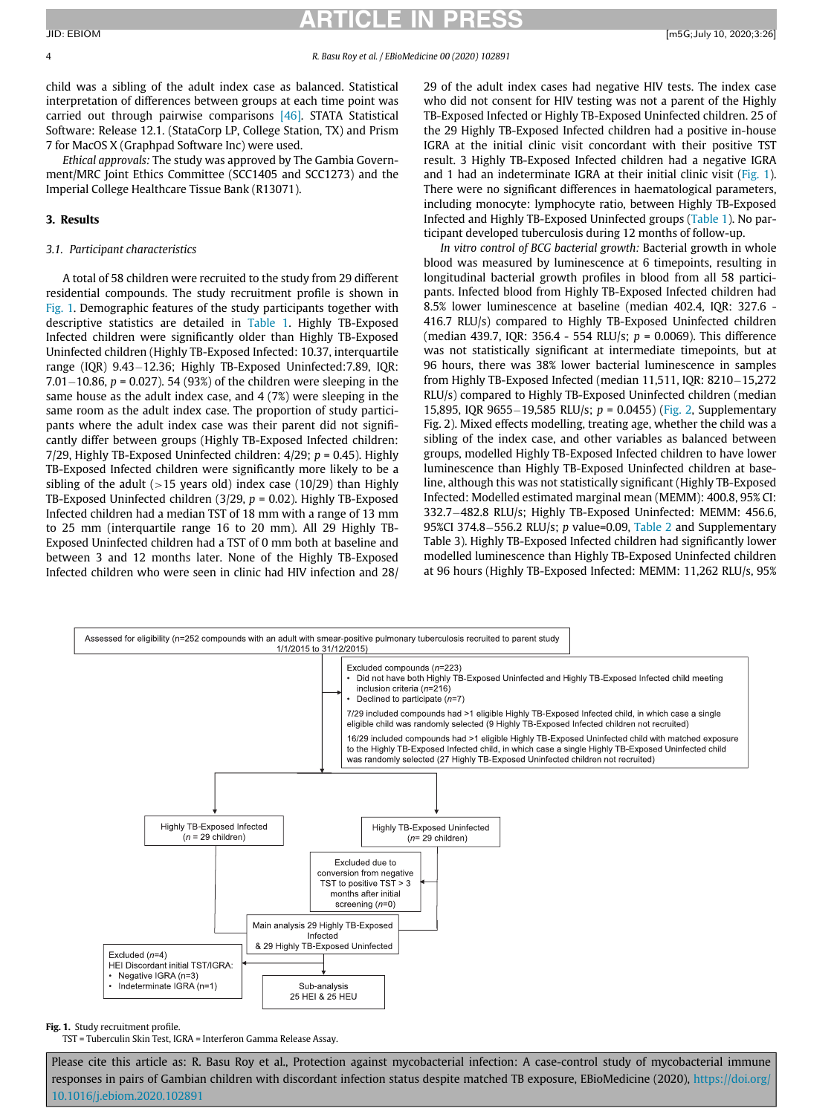child was a sibling of the adult index case as balanced. Statistical interpretation of differences between groups at each time point was carried out through pairwise comparisons [\[46\]](#page-9-17). STATA Statistical Software: Release 12.1. (StataCorp LP, College Station, TX) and Prism 7 for MacOS X (Graphpad Software Inc) were used.

Ethical approvals: The study was approved by The Gambia Government/MRC Joint Ethics Committee (SCC1405 and SCC1273) and the Imperial College Healthcare Tissue Bank (R13071).

# 3. Results

# 3.1. Participant characteristics

A total of 58 children were recruited to the study from 29 different residential compounds. The study recruitment profile is shown in [Fig. 1](#page-3-0). Demographic features of the study participants together with descriptive statistics are detailed in [Table 1](#page-4-0). Highly TB-Exposed Infected children were significantly older than Highly TB-Exposed Uninfected children (Highly TB-Exposed Infected: 10.37, interquartile range (IQR) 9.43-12.36; Highly TB-Exposed Uninfected:7.89, IQR: 7.01 $-10.86$ , p = 0.027). 54 (93%) of the children were sleeping in the same house as the adult index case, and 4 (7%) were sleeping in the same room as the adult index case. The proportion of study participants where the adult index case was their parent did not significantly differ between groups (Highly TB-Exposed Infected children: 7/29, Highly TB-Exposed Uninfected children:  $4/29$ ;  $p = 0.45$ ). Highly TB-Exposed Infected children were significantly more likely to be a sibling of the adult ( $>15$  years old) index case (10/29) than Highly TB-Exposed Uninfected children (3/29,  $p = 0.02$ ). Highly TB-Exposed Infected children had a median TST of 18 mm with a range of 13 mm to 25 mm (interquartile range 16 to 20 mm). All 29 Highly TB-Exposed Uninfected children had a TST of 0 mm both at baseline and between 3 and 12 months later. None of the Highly TB-Exposed Infected children who were seen in clinic had HIV infection and 28/

29 of the adult index cases had negative HIV tests. The index case who did not consent for HIV testing was not a parent of the Highly TB-Exposed Infected or Highly TB-Exposed Uninfected children. 25 of the 29 Highly TB-Exposed Infected children had a positive in-house IGRA at the initial clinic visit concordant with their positive TST result. 3 Highly TB-Exposed Infected children had a negative IGRA and 1 had an indeterminate IGRA at their initial clinic visit [\(Fig. 1\)](#page-3-0). There were no significant differences in haematological parameters, including monocyte: lymphocyte ratio, between Highly TB-Exposed Infected and Highly TB-Exposed Uninfected groups [\(Table 1](#page-4-0)). No participant developed tuberculosis during 12 months of follow-up.

In vitro control of BCG bacterial growth: Bacterial growth in whole blood was measured by luminescence at 6 timepoints, resulting in longitudinal bacterial growth profiles in blood from all 58 participants. Infected blood from Highly TB-Exposed Infected children had 8.5% lower luminescence at baseline (median 402.4, IQR: 327.6 - 416.7 RLU/s) compared to Highly TB-Exposed Uninfected children (median 439.7, IQR: 356.4 - 554 RLU/s;  $p = 0.0069$ ). This difference was not statistically significant at intermediate timepoints, but at 96 hours, there was 38% lower bacterial luminescence in samples from Highly TB-Exposed Infected (median 11,511, IQR: 8210-15,272 RLU/s) compared to Highly TB-Exposed Uninfected children (median 15,895, IQR 9655-19,585 RLU/s;  $p = 0.0455$ ) ([Fig. 2](#page-5-0), Supplementary Fig. 2). Mixed effects modelling, treating age, whether the child was a sibling of the index case, and other variables as balanced between groups, modelled Highly TB-Exposed Infected children to have lower luminescence than Highly TB-Exposed Uninfected children at baseline, although this was not statistically significant (Highly TB-Exposed Infected: Modelled estimated marginal mean (MEMM): 400.8, 95% CI: 332.7-482.8 RLU/s; Highly TB-Exposed Uninfected: MEMM: 456.6, 95%CI 374.8 $-$ 556.2 RLU/s; p value=0.09, [Table 2](#page-5-1) and Supplementary Table 3). Highly TB-Exposed Infected children had significantly lower modelled luminescence than Highly TB-Exposed Uninfected children at 96 hours (Highly TB-Exposed Infected: MEMM: 11,262 RLU/s, 95%

<span id="page-3-0"></span>

## Fig. 1. Study recruitment profile.

TST = Tuberculin Skin Test, IGRA = Interferon Gamma Release Assay.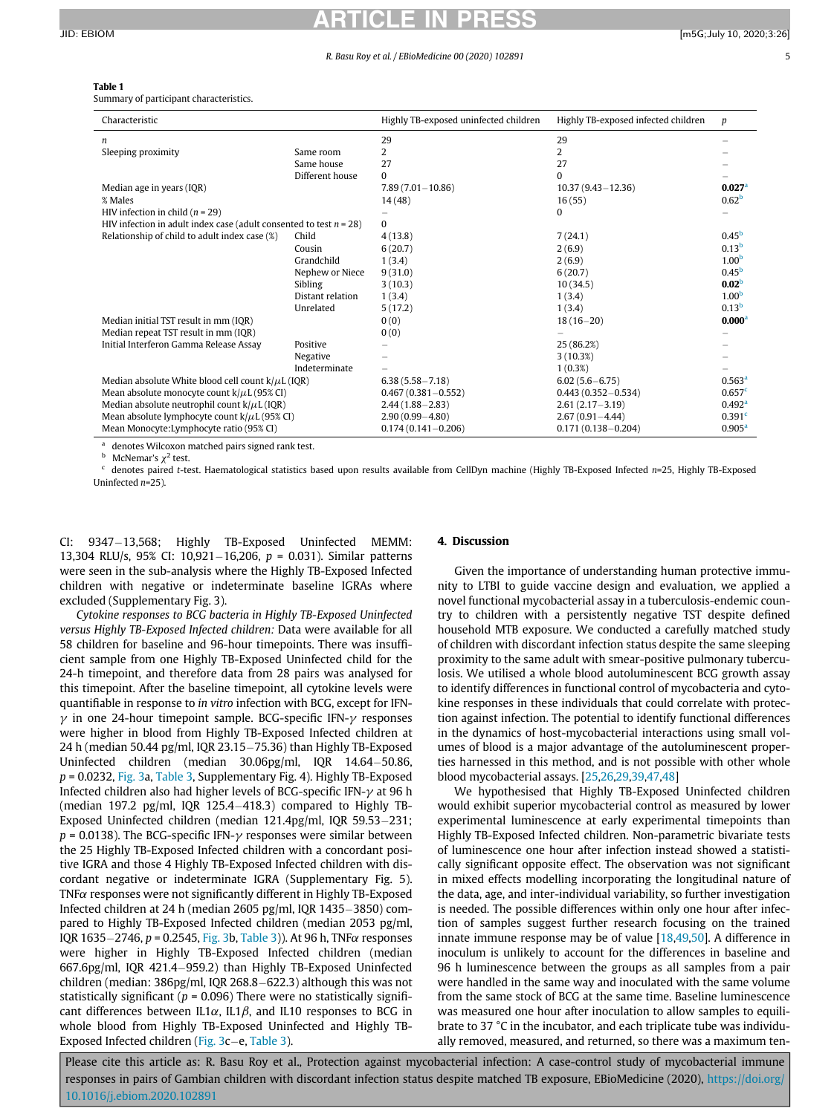# <span id="page-4-0"></span>ARTICLE IN PRESS JID: EBIOM [m5G;July 10, 2020;3:26]

#### R. Basu Roy et al. / EBioMedicine 00 (2020) 102891 5

# Table 1

Summary of participant characteristics.

| Characteristic                                                        |                  | Highly TB-exposed uninfected children | Highly TB-exposed infected children | p                  |
|-----------------------------------------------------------------------|------------------|---------------------------------------|-------------------------------------|--------------------|
| n                                                                     |                  | 29                                    | 29                                  |                    |
| Sleeping proximity                                                    | Same room        | 2                                     | 2                                   |                    |
|                                                                       | Same house       | 27                                    | 27                                  |                    |
|                                                                       | Different house  | $\Omega$                              | $\Omega$                            |                    |
| Median age in years (IQR)                                             |                  | $7.89(7.01 - 10.86)$                  | $10.37(9.43 - 12.36)$               | 0.027 <sup>a</sup> |
| % Males                                                               |                  | 14(48)                                | 16(55)                              | 0.62 <sup>b</sup>  |
| HIV infection in child $(n = 29)$                                     |                  |                                       | $\Omega$                            |                    |
| HIV infection in adult index case (adult consented to test $n = 28$ ) |                  | 0                                     |                                     |                    |
| Relationship of child to adult index case (%)                         | Child            | 4(13.8)                               | 7(24.1)                             | 0.45 <sup>b</sup>  |
|                                                                       | Cousin           | 6(20.7)                               | 2(6.9)                              | 0.13 <sup>b</sup>  |
|                                                                       | Grandchild       | 1(3.4)                                | 2(6.9)                              | 1.00 <sup>b</sup>  |
|                                                                       | Nephew or Niece  | 9(31.0)                               | 6(20.7)                             | 0.45 <sup>b</sup>  |
|                                                                       | Sibling          | 3(10.3)                               | 10(34.5)                            | 0.02 <sup>b</sup>  |
|                                                                       | Distant relation | 1(3.4)                                | 1(3.4)                              | 1.00 <sup>b</sup>  |
|                                                                       | Unrelated        | 5(17.2)                               | 1(3.4)                              | 0.13 <sup>b</sup>  |
| Median initial TST result in mm (IQR)                                 |                  | 0(0)                                  | $18(16-20)$                         | 0.000 <sup>a</sup> |
| Median repeat TST result in mm (IQR)                                  |                  | 0(0)                                  |                                     |                    |
| Initial Interferon Gamma Release Assay                                | Positive         |                                       | 25 (86.2%)                          |                    |
|                                                                       | Negative         |                                       | 3(10.3%)                            |                    |
|                                                                       | Indeterminate    |                                       | $1(0.3\%)$                          |                    |
| Median absolute White blood cell count $k/\mu L$ (IQR)                |                  | $6.38(5.58 - 7.18)$                   | $6.02(5.6 - 6.75)$                  | 0.563 <sup>a</sup> |
| Mean absolute monocyte count $k/\mu$ L (95% CI)                       |                  | $0.467(0.381 - 0.552)$                | $0.443(0.352 - 0.534)$              | 0.657 <sup>c</sup> |
| Median absolute neutrophil count $k/\mu L$ (IQR)                      |                  | $2.44(1.88 - 2.83)$                   | $2.61(2.17-3.19)$                   | 0.492 <sup>a</sup> |
| Mean absolute lymphocyte count $k/\mu$ L (95% CI)                     |                  | $2.90(0.99 - 4.80)$                   | $2.67(0.91 - 4.44)$                 | 0.391 <sup>c</sup> |
| Mean Monocyte: Lymphocyte ratio (95% CI)                              |                  | $0.174(0.141 - 0.206)$                | $0.171(0.138 - 0.204)$              | 0.905 <sup>a</sup> |

<sup>a</sup> denotes Wilcoxon matched pairs signed rank test.

McNemar's  $\chi^2$  test.

<span id="page-4-2"></span><span id="page-4-1"></span>denotes paired t-test. Haematological statistics based upon results available from CellDyn machine (Highly TB-Exposed Infected n=25, Highly TB-Exposed Uninfected  $n=25$ ).

CI: 9347-13,568; Highly TB-Exposed Uninfected MEMM: 13,304 RLU/s, 95% CI: 10,921-16,206,  $p = 0.031$ ). Similar patterns were seen in the sub-analysis where the Highly TB-Exposed Infected children with negative or indeterminate baseline IGRAs where excluded (Supplementary Fig. 3).

Cytokine responses to BCG bacteria in Highly TB-Exposed Uninfected versus Highly TB-Exposed Infected children: Data were available for all 58 children for baseline and 96-hour timepoints. There was insufficient sample from one Highly TB-Exposed Uninfected child for the 24-h timepoint, and therefore data from 28 pairs was analysed for this timepoint. After the baseline timepoint, all cytokine levels were quantifiable in response to in vitro infection with BCG, except for IFN- $\gamma$  in one 24-hour timepoint sample. BCG-specific IFN- $\gamma$  responses were higher in blood from Highly TB-Exposed Infected children at 24 h (median 50.44 pg/ml, IQR 23.15 $-75.36$ ) than Highly TB-Exposed Uninfected children (median  $30.06$ pg/ml, IQR  $14.64 - 50.86$ ,  $p = 0.0232$ , [Fig. 3](#page-6-0)a, [Table 3](#page-7-0), Supplementary Fig. 4). Highly TB-Exposed Infected children also had higher levels of BCG-specific IFN- $\gamma$  at 96 h (median 197.2 pg/ml, IQR 125.4 $-418.3$ ) compared to Highly TB-Exposed Uninfected children (median  $121.4$ pg/ml, IQR 59.53-231;  $p = 0.0138$ ). The BCG-specific IFN- $\gamma$  responses were similar between the 25 Highly TB-Exposed Infected children with a concordant positive IGRA and those 4 Highly TB-Exposed Infected children with discordant negative or indeterminate IGRA (Supplementary Fig. 5).  $TNF\alpha$  responses were not significantly different in Highly TB-Exposed Infected children at 24 h (median 2605 pg/ml, IQR 1435-3850) compared to Highly TB-Exposed Infected children (median 2053 pg/ml, IQR 1635-2746, p = 0.2545, [Fig. 3](#page-6-0)b, [Table 3](#page-7-0))). At 96 h, TNF $\alpha$  responses were higher in Highly TB-Exposed Infected children (median 667.6pg/ml, IQR 421.4959.2) than Highly TB-Exposed Uninfected children (median: 386pg/ml, IQR 268.8–622.3) although this was not statistically significant ( $p = 0.096$ ) There were no statistically significant differences between IL1 $\alpha$ , IL1 $\beta$ , and IL10 responses to BCG in whole blood from Highly TB-Exposed Uninfected and Highly TB-Exposed Infected children (Fig.  $3c-e$ , [Table 3\)](#page-7-0).

# 4. Discussion

Given the importance of understanding human protective immunity to LTBI to guide vaccine design and evaluation, we applied a novel functional mycobacterial assay in a tuberculosis-endemic country to children with a persistently negative TST despite defined household MTB exposure. We conducted a carefully matched study of children with discordant infection status despite the same sleeping proximity to the same adult with smear-positive pulmonary tuberculosis. We utilised a whole blood autoluminescent BCG growth assay to identify differences in functional control of mycobacteria and cytokine responses in these individuals that could correlate with protection against infection. The potential to identify functional differences in the dynamics of host-mycobacterial interactions using small volumes of blood is a major advantage of the autoluminescent properties harnessed in this method, and is not possible with other whole blood mycobacterial assays. [[25,](#page-9-1)[26,](#page-9-4)[29,](#page-9-2)[39](#page-9-10)[,47,](#page-9-18)[48\]](#page-9-19)

We hypothesised that Highly TB-Exposed Uninfected children would exhibit superior mycobacterial control as measured by lower experimental luminescence at early experimental timepoints than Highly TB-Exposed Infected children. Non-parametric bivariate tests of luminescence one hour after infection instead showed a statistically significant opposite effect. The observation was not significant in mixed effects modelling incorporating the longitudinal nature of the data, age, and inter-individual variability, so further investigation is needed. The possible differences within only one hour after infection of samples suggest further research focusing on the trained innate immune response may be of value [\[18](#page-8-10)[,49](#page-9-20)[,50](#page-9-21)]. A difference in inoculum is unlikely to account for the differences in baseline and 96 h luminescence between the groups as all samples from a pair were handled in the same way and inoculated with the same volume from the same stock of BCG at the same time. Baseline luminescence was measured one hour after inoculation to allow samples to equilibrate to 37 °C in the incubator, and each triplicate tube was individually removed, measured, and returned, so there was a maximum ten-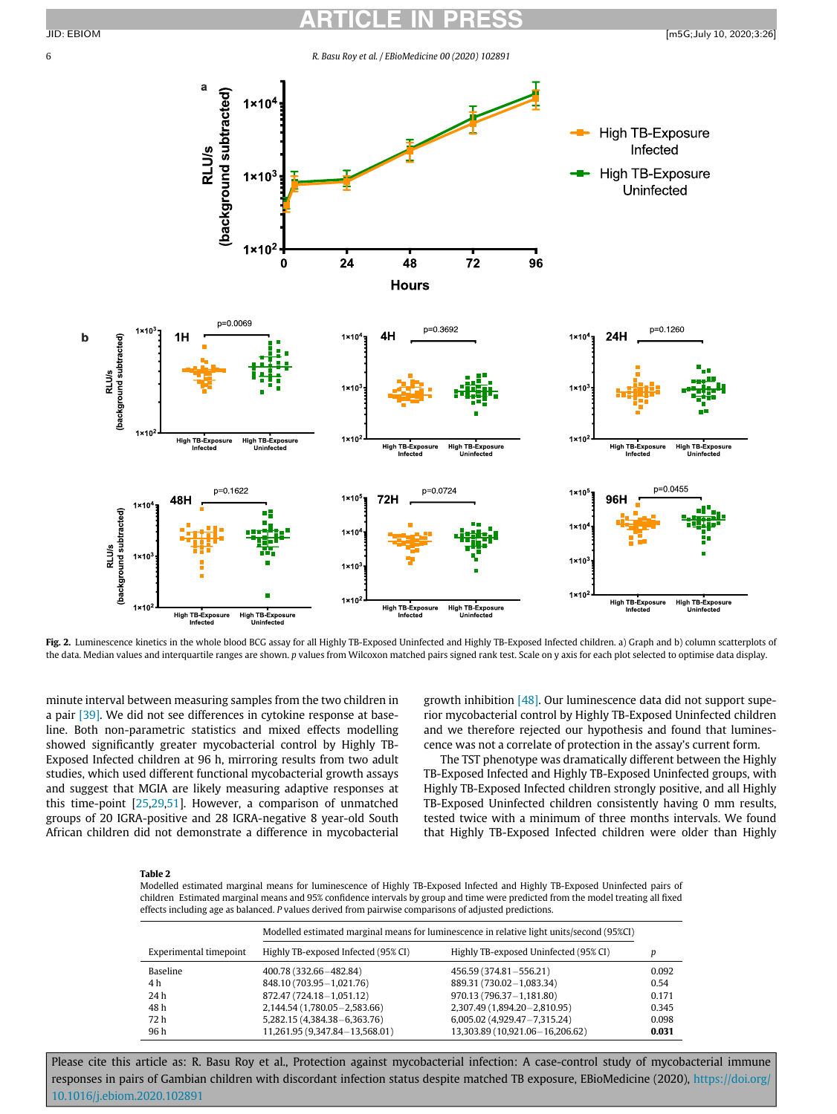<span id="page-5-0"></span>

Fig. 2. Luminescence kinetics in the whole blood BCG assay for all Highly TB-Exposed Uninfected and Highly TB-Exposed Infected children. a) Graph and b) column scatterplots of the data. Median values and interquartile ranges are shown. p values from Wilcoxon matched pairs signed rank test. Scale on y axis for each plot selected to optimise data display.

minute interval between measuring samples from the two children in a pair [\[39\].](#page-9-10) We did not see differences in cytokine response at baseline. Both non-parametric statistics and mixed effects modelling showed significantly greater mycobacterial control by Highly TB-Exposed Infected children at 96 h, mirroring results from two adult studies, which used different functional mycobacterial growth assays and suggest that MGIA are likely measuring adaptive responses at this time-point [[25,](#page-9-1)[29,](#page-9-2)[51\]](#page-9-22). However, a comparison of unmatched groups of 20 IGRA-positive and 28 IGRA-negative 8 year-old South African children did not demonstrate a difference in mycobacterial

growth inhibition [\[48\]](#page-9-19). Our luminescence data did not support superior mycobacterial control by Highly TB-Exposed Uninfected children and we therefore rejected our hypothesis and found that luminescence was not a correlate of protection in the assay's current form.

The TST phenotype was dramatically different between the Highly TB-Exposed Infected and Highly TB-Exposed Uninfected groups, with Highly TB-Exposed Infected children strongly positive, and all Highly TB-Exposed Uninfected children consistently having 0 mm results, tested twice with a minimum of three months intervals. We found that Highly TB-Exposed Infected children were older than Highly

### <span id="page-5-1"></span>Table 2

Modelled estimated marginal means for luminescence of Highly TB-Exposed Infected and Highly TB-Exposed Uninfected pairs of children Estimated marginal means and 95% confidence intervals by group and time were predicted from the model treating all fixed effects including age as balanced. P values derived from pairwise comparisons of adjusted predictions.

|                        |                                     | Modelled estimated marginal means for luminescence in relative light units/second (95%CI) |       |
|------------------------|-------------------------------------|-------------------------------------------------------------------------------------------|-------|
| Experimental timepoint | Highly TB-exposed Infected (95% CI) | Highly TB-exposed Uninfected (95% CI)                                                     | D     |
| Baseline               | 400.78 (332.66-482.84)              | 456.59 (374.81-556.21)                                                                    | 0.092 |
| 4 h                    | 848.10 (703.95 - 1,021.76)          | 889.31 (730.02-1,083.34)                                                                  | 0.54  |
| 24 h                   | 872.47 (724.18-1,051.12)            | 970.13 (796.37-1,181.80)                                                                  | 0.171 |
| 48 h                   | 2,144.54 (1,780.05 - 2,583.66)      | 2,307.49 (1,894.20 - 2,810.95)                                                            | 0.345 |
| 72 h                   | 5,282.15 (4,384.38 - 6,363.76)      | 6,005.02 (4,929.47 - 7,315.24)                                                            | 0.098 |
| 96 h                   | 11,261.95 (9,347.84 - 13,568.01)    | 13,303.89 (10,921.06-16,206.62)                                                           | 0.031 |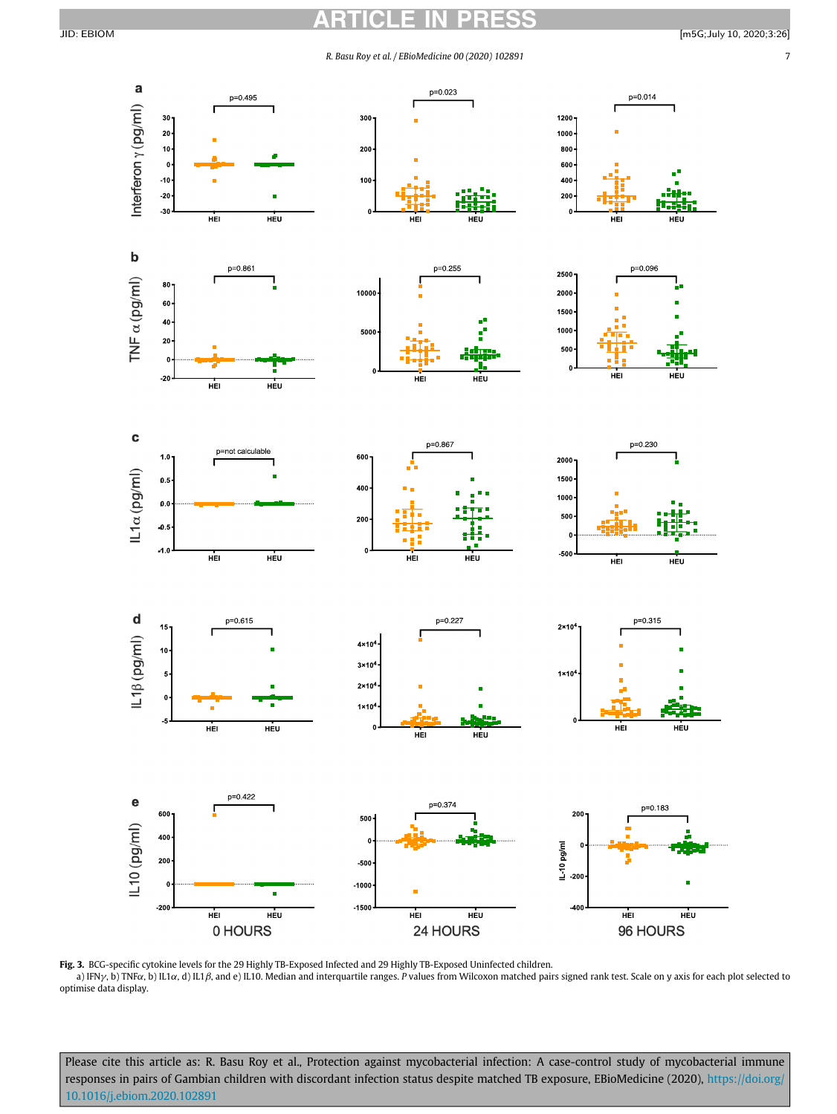<span id="page-6-0"></span>

Fig. 3. BCG-specific cytokine levels for the 29 Highly TB-Exposed Infected and 29 Highly TB-Exposed Uninfected children. a) IFN $\gamma$ , b) TNFa, b) IL1a, d) IL1 $\beta$ , and e) IL10. Median and interquartile ranges. P values from Wilcoxon matched pairs signed rank test. Scale on y axis for each plot selected to optimise data display.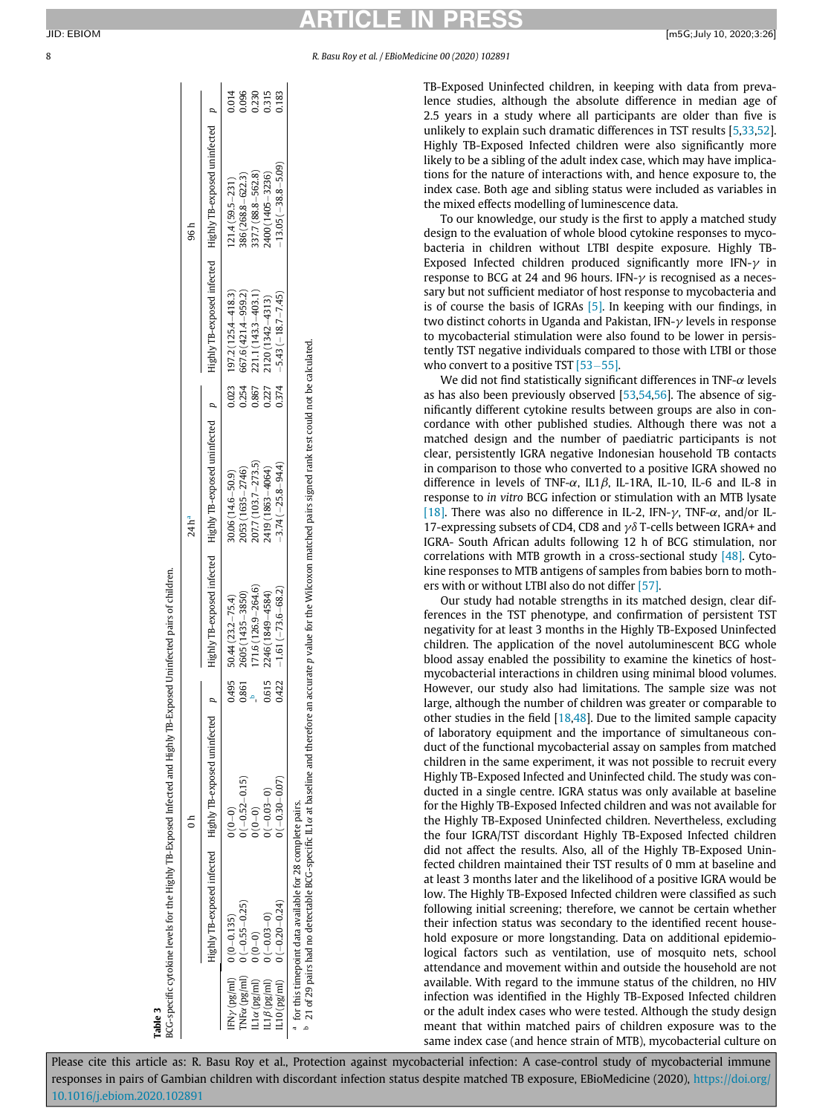<span id="page-7-1"></span><span id="page-7-0"></span>8 R. Basu Roy et al. / EBioMedicine 00 (2020) 102891

TB-Exposed Uninfected children, in keeping with data from prevalence studies, although the absolute difference in median age of 2.5 years in a study where all participants are older than five is unlikely to explain such dramatic differences in TST results [[5](#page-8-3),[33](#page-9-23),[52](#page-9-24)]. Highly TB-Exposed Infected children were also significantly more likely to be a sibling of the adult index case, which may have implications for the nature of interactions with, and hence exposure to, the index case. Both age and sibling status were included as variables in the mixed effects modelling of luminescence data.

To our knowledge, our study is the first to apply a matched study design to the evaluation of whole blood cytokine responses to mycobacteria in children without LTBI despite exposure. Highly TB-Exposed Infected children produced significantly more IFN- $\gamma$  in response to BCG at 24 and 96 hours. IFN- $\gamma$  is recognised as a necessary but not sufficient mediator of host response to mycobacteria and is of course the basis of IGRAs [\[5\].](#page-8-3) In keeping with our findings, in two distinct cohorts in Uganda and Pakistan, IFN- $\gamma$  levels in response to mycobacterial stimulation were also found to be lower in persistently TST negative individuals compared to those with LTBI or those who convert to a positive TST  $[53-55]$  $[53-55]$  $[53-55]$ .

We did not find statistically significant differences in TNF- $\alpha$  levels as has also been previously observed [[53,](#page-9-25)[54,](#page-9-26)[56\]](#page-9-27). The absence of significantly different cytokine results between groups are also in concordance with other published studies. Although there was not a matched design and the number of paediatric participants is not clear, persistently IGRA negative Indonesian household TB contacts in comparison to those who converted to a positive IGRA showed no difference in levels of TNF- $\alpha$ , IL1 $\beta$ , IL-1RA, IL-10, IL-6 and IL-8 in response to in vitro BCG infection or stimulation with an MTB lysate [\[18\]](#page-8-10). There was also no difference in IL-2, IFN- $\gamma$ , TNF- $\alpha$ , and/or IL-17-expressing subsets of CD4, CD8 and  $\gamma\delta$  T-cells between IGRA+ and IGRA- South African adults following 12 h of BCG stimulation, nor correlations with MTB growth in a cross-sectional study [\[48\]](#page-9-19). Cytokine responses to MTB antigens of samples from babies born to mothers with or without LTBI also do not differ [\[57\].](#page-9-28)

Our study had notable strengths in its matched design, clear differences in the TST phenotype, and confirmation of persistent TST negativity for at least 3 months in the Highly TB-Exposed Uninfected children. The application of the novel autoluminescent BCG whole blood assay enabled the possibility to examine the kinetics of hostmycobacterial interactions in children using minimal blood volumes. However, our study also had limitations. The sample size was not large, although the number of children was greater or comparable to other studies in the field  $[18,48]$  $[18,48]$  $[18,48]$ . Due to the limited sample capacity of laboratory equipment and the importance of simultaneous conduct of the functional mycobacterial assay on samples from matched children in the same experiment, it was not possible to recruit every Highly TB-Exposed Infected and Uninfected child. The study was conducted in a single centre. IGRA status was only available at baseline for the Highly TB-Exposed Infected children and was not available for the Highly TB-Exposed Uninfected children. Nevertheless, excluding the four IGRA/TST discordant Highly TB-Exposed Infected children did not affect the results. Also, all of the Highly TB-Exposed Uninfected children maintained their TST results of 0 mm at baseline and at least 3 months later and the likelihood of a positive IGRA would be low. The Highly TB-Exposed Infected children were classified as such following initial screening; therefore, we cannot be certain whether their infection status was secondary to the identified recent household exposure or more longstanding. Data on additional epidemiological factors such as ventilation, use of mosquito nets, school attendance and movement within and outside the household are not available. With regard to the immune status of the children, no HIV infection was identified in the Highly TB-Exposed Infected children or the adult index cases who were tested. Although the study design meant that within matched pairs of children exposure was to the same index case (and hence strain of MTB), mycobacterial culture on

Please cite this article as: R. Basu Roy et al., Protection against mycobacterial infection: A case-control study of mycobacterial immune responses in pairs of Gambian children with discordant infection status despite matched TB exposure, EBioMedicine (2020), [https://doi.org/](https://doi.org/10.1016/j.ebiom.2020.102891) [10.1016/j.ebiom.2020.102891](https://doi.org/10.1016/j.ebiom.2020.102891)

BCG-specific cytokine levels for the Highly TB-Exposed Infected and Highly TB-Exposed Uninfected pairs of children. BCG-specific cytokine levels for the Highly TB-Exposed Infected and Highly TB-Exposed Uninfected pairs of children. Table 3

 $\overline{0}$  h

 $24 h<sup>a</sup>$ Highly TB-exposed infected Highly TB-exposed uninfected p Highly TB-exposed infected Highly TB-exposed uninfected p Highly TB-exposed infected Highly TB-exposed uninfected p

 $24h<sup>a</sup>$ 

Highly TB-exposed uninfected

Highly TB-exposed infected

 $\overline{a}$ 

Highly TB-exposed uninfected

Highly TB-exposed infected

0.014

0.254 0.023  $\overline{a}$ 

 $\overline{a}$ 

Highly TB-exposed uninfected

Highly TB-exposed infected

 $96h$ 

0.096<br>0.231<br>0.313<br>0.183

| 183            | $(3.05 (-38.8 - 5.09))$ | $-5.43(-18.7 - 7.45)$<br>1374                       | $3.74(-25.8 - 94.4)$  | $-1.61(-73.6 - 68.2)$  | 1422  |                                                                                                                                     |                                                                                                                                                                                                                                                              |  |
|----------------|-------------------------|-----------------------------------------------------|-----------------------|------------------------|-------|-------------------------------------------------------------------------------------------------------------------------------------|--------------------------------------------------------------------------------------------------------------------------------------------------------------------------------------------------------------------------------------------------------------|--|
| <b>CECC</b>    | $400(1405 - 3236)$      | $2120(1342 - 4313)$<br>.227                         | 19 (1863 - 4064)      | 2246 (1849-4584)       | 0.615 |                                                                                                                                     |                                                                                                                                                                                                                                                              |  |
|                |                         |                                                     |                       |                        |       |                                                                                                                                     |                                                                                                                                                                                                                                                              |  |
|                | 337.7 (88.8-562.8)      |                                                     | 207.7 (103.7 - 273.5) | $171.6(126.9 - 264.6)$ |       |                                                                                                                                     |                                                                                                                                                                                                                                                              |  |
| 0.230          |                         | 0.867                                               |                       |                        |       |                                                                                                                                     |                                                                                                                                                                                                                                                              |  |
| 096            | 386 (268.8 - 622.3)     | 667.6 (421.4-959.2)<br>221.1 (143.3-403.1)<br>0.254 | 2053 (1635-2746)      | 2605 (1435-3850)       |       |                                                                                                                                     |                                                                                                                                                                                                                                                              |  |
|                |                         |                                                     |                       |                        |       |                                                                                                                                     |                                                                                                                                                                                                                                                              |  |
| $\frac{4}{10}$ | $121.4(59.5 - 231)$     | $197.2(125.4 - 418.3)$<br>0.23                      | $30.06(14.6 - 50.9)$  | $50.44(23.2 - 75.4)$   | 0.495 | $\begin{array}{l} 0 \, (0\!-\!0) \ 0 \, (-0.52\!-\!0.15) \ 0 \, (0\!-\!0) \ 0 \, (-0.33\!-\!0) \ 0 \, (-0.30\!-\!0.07) \end{array}$ | $\begin{array}{ll} \mbox{IFVy (pg/ml)} & 0 \, (0\!-\!0.135) \\ \mbox{INFc (pg/ml)} & 0 \, (-0.55\!-\!0.25) \\ \mbox{II.a (pg/ml)} & 0 \, (0\!-\!0) \\ \mbox{II.fβ (pg/ml)} & 0 \, (-0.03\!-\!0) \\ \mbox{II.10 (pg/ml)} & 0 \, (-0.20\!-\!0.24) \end{array}$ |  |
|                |                         |                                                     |                       |                        |       |                                                                                                                                     |                                                                                                                                                                                                                                                              |  |

<sup>a</sup> for this timepoint data available for 28 complete pairs.<br><sup>b</sup> 21 of 29 pairs had no detectable BCG-specific IL1*u* at baseline and therefore an accurate p value for the Wilcoxon matched pairs signed rank test could not

21 of 29 pairs had no detectable BCC-specific IL1a at baseline and therefore an accurate p value for the Wilcoxon matched pairs signed rank test could not be calculated.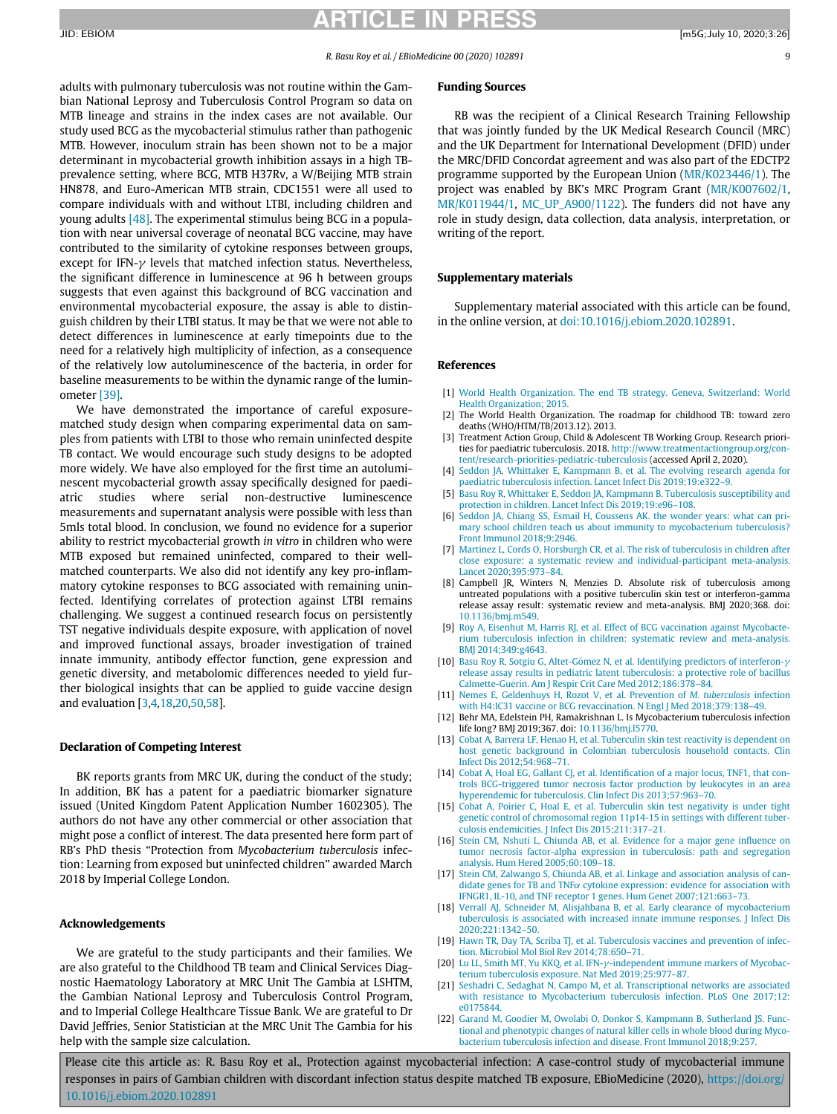<span id="page-8-13"></span>adults with pulmonary tuberculosis was not routine within the Gambian National Leprosy and Tuberculosis Control Program so data on MTB lineage and strains in the index cases are not available. Our study used BCG as the mycobacterial stimulus rather than pathogenic MTB. However, inoculum strain has been shown not to be a major determinant in mycobacterial growth inhibition assays in a high TBprevalence setting, where BCG, MTB H37Rv, a W/Beijing MTB strain HN878, and Euro-American MTB strain, CDC1551 were all used to compare individuals with and without LTBI, including children and young adults [\[48\].](#page-9-19) The experimental stimulus being BCG in a population with near universal coverage of neonatal BCG vaccine, may have contributed to the similarity of cytokine responses between groups, except for IFN- $\gamma$  levels that matched infection status. Nevertheless, the significant difference in luminescence at 96 h between groups suggests that even against this background of BCG vaccination and environmental mycobacterial exposure, the assay is able to distinguish children by their LTBI status. It may be that we were not able to detect differences in luminescence at early timepoints due to the need for a relatively high multiplicity of infection, as a consequence of the relatively low autoluminescence of the bacteria, in order for baseline measurements to be within the dynamic range of the luminometer [\[39\]](#page-9-10).

<span id="page-8-11"></span><span id="page-8-5"></span><span id="page-8-4"></span><span id="page-8-3"></span><span id="page-8-2"></span><span id="page-8-1"></span><span id="page-8-0"></span>We have demonstrated the importance of careful exposurematched study design when comparing experimental data on samples from patients with LTBI to those who remain uninfected despite TB contact. We would encourage such study designs to be adopted more widely. We have also employed for the first time an autoluminescent mycobacterial growth assay specifically designed for paediatric studies where serial non-destructive luminescence measurements and supernatant analysis were possible with less than 5mls total blood. In conclusion, we found no evidence for a superior ability to restrict mycobacterial growth in vitro in children who were MTB exposed but remained uninfected, compared to their wellmatched counterparts. We also did not identify any key pro-inflammatory cytokine responses to BCG associated with remaining uninfected. Identifying correlates of protection against LTBI remains challenging. We suggest a continued research focus on persistently TST negative individuals despite exposure, with application of novel and improved functional assays, broader investigation of trained innate immunity, antibody effector function, gene expression and genetic diversity, and metabolomic differences needed to yield further biological insights that can be applied to guide vaccine design and evaluation [[3,](#page-8-2)[4,](#page-8-11)[18,](#page-8-10)[20,](#page-8-12)[50,](#page-9-21)[58\]](#page-9-29).

# <span id="page-8-9"></span><span id="page-8-8"></span><span id="page-8-7"></span><span id="page-8-6"></span>Declaration of Competing Interest

BK reports grants from MRC UK, during the conduct of the study; In addition, BK has a patent for a paediatric biomarker signature issued (United Kingdom Patent Application Number 1602305). The authors do not have any other commercial or other association that might pose a conflict of interest. The data presented here form part of RB's PhD thesis "Protection from Mycobacterium tuberculosis infection: Learning from exposed but uninfected children" awarded March 2018 by Imperial College London.

# <span id="page-8-10"></span>Acknowledgements

<span id="page-8-12"></span>We are grateful to the study participants and their families. We are also grateful to the Childhood TB team and Clinical Services Diagnostic Haematology Laboratory at MRC Unit The Gambia at LSHTM, the Gambian National Leprosy and Tuberculosis Control Program, and to Imperial College Healthcare Tissue Bank. We are grateful to Dr David Jeffries, Senior Statistician at the MRC Unit The Gambia for his help with the sample size calculation.

#### Funding Sources

RB was the recipient of a Clinical Research Training Fellowship that was jointly funded by the UK Medical Research Council (MRC) and the UK Department for International Development (DFID) under the MRC/DFID Concordat agreement and was also part of the EDCTP2 programme supported by the European Union [\(MR/K023446/1\)](#page-8-13). The project was enabled by BK's MRC Program Grant ([MR/K007602/1,](#page-8-13) [MR/K011944/1](#page-8-13), [MC\\_UP\\_A900/1122\)](#page-8-13). The funders did not have any role in study design, data collection, data analysis, interpretation, or writing of the report.

### Supplementary materials

Supplementary material associated with this article can be found, in the online version, at [doi:10.1016/j.ebiom.2020.102891](https://doi.org/10.1016/j.ebiom.2020.102891).

#### References

- [1] [World Health Organization. The end TB strategy. Geneva, Switzerland: World](http://refhub.elsevier.com/S2352-3964(20)30266-8/sbref0001) [Health Organization; 2015.](http://refhub.elsevier.com/S2352-3964(20)30266-8/sbref0001)
- [2] The World Health Organization. The roadmap for childhood TB: toward zero deaths (WHO/HTM/TB/2013.12). 2013.
- [3] Treatment Action Group, Child & Adolescent TB Working Group. Research priorities for paediatric tuberculosis. 2018. [http://www.treatmentactiongroup.org/con](http://www.treatmentactiongroup.org/content/research-priorities-pediatric-tuberculosis)[tent/research-priorities-pediatric-tuberculosis](http://www.treatmentactiongroup.org/content/research-priorities-pediatric-tuberculosis) (accessed April 2, 2020).
- [4] [Seddon JA, Whittaker E, Kampmann B, et al. The evolving research agenda for](http://refhub.elsevier.com/S2352-3964(20)30266-8/sbref0002) [paediatric tuberculosis infection. Lancet Infect Dis 2019;19:e322](http://refhub.elsevier.com/S2352-3964(20)30266-8/sbref0002)–9.
- [5] [Basu Roy R, Whittaker E, Seddon JA, Kampmann B. Tuberculosis susceptibility and](http://refhub.elsevier.com/S2352-3964(20)30266-8/sbref0003) [protection in children. Lancet Infect Dis 2019;19:e96](http://refhub.elsevier.com/S2352-3964(20)30266-8/sbref0003)–108.
- [6] [Seddon JA, Chiang SS, Esmail H, Coussens AK. the wonder years: what can pri](http://refhub.elsevier.com/S2352-3964(20)30266-8/sbref0004)[mary school children teach us about immunity to mycobacterium tuberculosis?](http://refhub.elsevier.com/S2352-3964(20)30266-8/sbref0004) [Front Immunol 2018;9:2946.](http://refhub.elsevier.com/S2352-3964(20)30266-8/sbref0004)
- [7] [Martinez L, Cords O, Horsburgh CR, et al. The risk of tuberculosis in children after](http://refhub.elsevier.com/S2352-3964(20)30266-8/sbref0005) [close exposure: a systematic review and individual-participant meta-analysis.](http://refhub.elsevier.com/S2352-3964(20)30266-8/sbref0005) [Lancet 2020;395:973](http://refhub.elsevier.com/S2352-3964(20)30266-8/sbref0005)–84.
- [8] Campbell JR, Winters N, Menzies D. Absolute risk of tuberculosis among untreated populations with a positive tuberculin skin test or interferon-gamma release assay result: systematic review and meta-analysis. BMJ 2020;368. doi: [10.1136/bmj.m549.](https://doi.org/10.1136/bmj.m549)
- [9] [Roy A, Eisenhut M, Harris RJ, et al. Effect of BCG vaccination against Mycobacte](http://refhub.elsevier.com/S2352-3964(20)30266-8/sbref0007)[rium tuberculosis infection in children: systematic review and meta-analysis.](http://refhub.elsevier.com/S2352-3964(20)30266-8/sbref0007) [BMJ 2014;349:g4643.](http://refhub.elsevier.com/S2352-3964(20)30266-8/sbref0007)
- [10] Basu Roy R, Sotgiu G, Altet-Gómez N, et al. Identifying predictors of interferon- $\gamma$ [release assay results in pediatric latent tuberculosis: a protective role of bacillus](http://refhub.elsevier.com/S2352-3964(20)30266-8/sbref0008) Calmette-Guérin. Am J Respir Crit Care Med 2012;186:378-84.
- [11] [Nemes E, Geldenhuys H, Rozot V, et al. Prevention of](http://refhub.elsevier.com/S2352-3964(20)30266-8/sbref0009) M. tuberculosis infection [with H4:IC31 vaccine or BCG revaccination. N Engl J Med 2018;379:138](http://refhub.elsevier.com/S2352-3964(20)30266-8/sbref0009)–49.
- [12] Behr MA, Edelstein PH, Ramakrishnan L. Is Mycobacterium tuberculosis infection life long? BMJ 2019;367. doi: [10.1136/bmj.l5770.](https://doi.org/10.1136/bmj.l5770)
- [13] [Cobat A, Barrera LF, Henao H, et al. Tuberculin skin test reactivity is dependent on](http://refhub.elsevier.com/S2352-3964(20)30266-8/sbref0011) [host genetic background in Colombian tuberculosis household contacts. Clin](http://refhub.elsevier.com/S2352-3964(20)30266-8/sbref0011) [Infect Dis 2012;54:968](http://refhub.elsevier.com/S2352-3964(20)30266-8/sbref0011)–71.
- [14] [Cobat A, Hoal EG, Gallant CJ, et al. Identi](http://refhub.elsevier.com/S2352-3964(20)30266-8/sbref0012)fication of a major locus, TNF1, that con[trols BCG-triggered tumor necrosis factor production by leukocytes in an area](http://refhub.elsevier.com/S2352-3964(20)30266-8/sbref0012) [hyperendemic for tuberculosis. Clin Infect Dis 2013;57:963](http://refhub.elsevier.com/S2352-3964(20)30266-8/sbref0012)–70.
- [15] [Cobat A, Poirier C, Hoal E, et al. Tuberculin skin test negativity is under tight](http://refhub.elsevier.com/S2352-3964(20)30266-8/sbref0013) [genetic control of chromosomal region 11p14-15 in settings with different tuber](http://refhub.elsevier.com/S2352-3964(20)30266-8/sbref0013)[culosis endemicities. J Infect Dis 2015;211:317](http://refhub.elsevier.com/S2352-3964(20)30266-8/sbref0013)–21.
- [16] [Stein CM, Nshuti L, Chiunda AB, et al. Evidence for a major gene in](http://refhub.elsevier.com/S2352-3964(20)30266-8/sbref0014)fluence on [tumor necrosis factor-alpha expression in tuberculosis: path and segregation](http://refhub.elsevier.com/S2352-3964(20)30266-8/sbref0014) [analysis. Hum Hered 2005;60:109](http://refhub.elsevier.com/S2352-3964(20)30266-8/sbref0014)–18.
- [17] [Stein CM, Zalwango S, Chiunda AB, et al. Linkage and association analysis of can](http://refhub.elsevier.com/S2352-3964(20)30266-8/sbref0015)[didate genes for TB and TNF](http://refhub.elsevier.com/S2352-3964(20)30266-8/sbref0015) $\alpha$  [cytokine expression: evidence for association with](http://refhub.elsevier.com/S2352-3964(20)30266-8/sbref0015) [IFNGR1, IL-10, and TNF receptor 1 genes. Hum Genet 2007;121:663](http://refhub.elsevier.com/S2352-3964(20)30266-8/sbref0015)–73.
- [18] [Verrall AJ, Schneider M, Alisjahbana B, et al. Early clearance of mycobacterium](http://refhub.elsevier.com/S2352-3964(20)30266-8/sbref0016) [tuberculosis is associated with increased innate immune responses. J Infect Dis](http://refhub.elsevier.com/S2352-3964(20)30266-8/sbref0016) [2020;221:1342](http://refhub.elsevier.com/S2352-3964(20)30266-8/sbref0016)–50.
- [19] [Hawn TR, Day TA, Scriba TJ, et al. Tuberculosis vaccines and prevention of infec](http://refhub.elsevier.com/S2352-3964(20)30266-8/sbref0017)[tion. Microbiol Mol Biol Rev 2014;78:650](http://refhub.elsevier.com/S2352-3964(20)30266-8/sbref0017)–71.
- [20] [Lu LL, Smith MT, Yu KKQ, et al. IFN-](http://refhub.elsevier.com/S2352-3964(20)30266-8/sbref0018) $\gamma$ [-independent immune markers of Mycobac](http://refhub.elsevier.com/S2352-3964(20)30266-8/sbref0018)[terium tuberculosis exposure. Nat Med 2019;25:977](http://refhub.elsevier.com/S2352-3964(20)30266-8/sbref0018)–87.
- [21] [Seshadri C, Sedaghat N, Campo M, et al. Transcriptional networks are associated](http://refhub.elsevier.com/S2352-3964(20)30266-8/sbref0019) [with resistance to Mycobacterium tuberculosis infection. PLoS One 2017;12:](http://refhub.elsevier.com/S2352-3964(20)30266-8/sbref0019) [e0175844.](http://refhub.elsevier.com/S2352-3964(20)30266-8/sbref0019)
- [22] [Garand M, Goodier M, Owolabi O, Donkor S, Kampmann B, Sutherland JS. Func](http://refhub.elsevier.com/S2352-3964(20)30266-8/sbref0020)[tional and phenotypic changes of natural killer cells in whole blood during Myco](http://refhub.elsevier.com/S2352-3964(20)30266-8/sbref0020)[bacterium tuberculosis infection and disease. Front Immunol 2018;9:257.](http://refhub.elsevier.com/S2352-3964(20)30266-8/sbref0020)